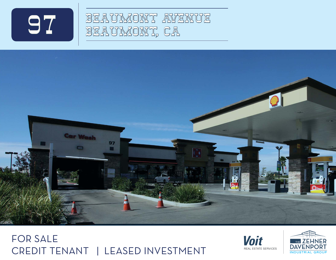

 $\bigcirc$  / BEAUMONT AVENUE O 7 | <sup>BEAUMONT</sup> AVE







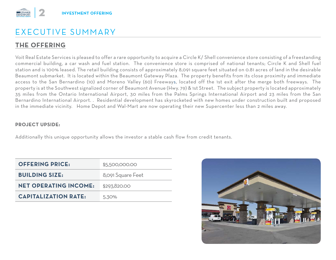# EXECUTIVE-SUMMARY

### **THE OFFERING**

Voit Real Estate Services is pleased to offer a rare opportunity to acquire a Circle K/ Shell convenience store consisting of a freestanding commercial building, a car wash and fuel station. The convenience store is comprised of national tenants; Circle K and Shell fuel station and is 100% leased. The retail building consists of approximately 8,091 square feet situated on 0.81 acres of land in the desirable Beaumont submarket. It is located within the Beaumont Gateway Plaza. The property benefits from its close proximity and immediate access to the San Bernardino (10) and Moreno Valley (60) Freeways, located off the 1st exit after the merge both freeways. The property is at the Southwest signalized corner of Beaumont Avenue (Hwy. 79) & 1st Street. The subject property is located approximately 35 miles from the Ontario International Airport, 30 miles from the Palms Springs International Airport and 23 miles from the San Bernardino International Airport. . Residential development has skyrocketed with new homes under construction built and proposed in the immediate vicinity. Home Depot and Wal-Mart are now operating their new Supercenter less than 2 miles away.

#### **PROJECT-UPSIDE**

Additionally this unique opportunity allows the investor a stable cash flow from credit tenants.

| <b>OFFERING PRICE:</b>       | \$5,500,000.00    |
|------------------------------|-------------------|
| <b>BUILDING SIZE:</b>        | 8,091 Square Feet |
| <b>NET OPERATING INCOME:</b> | \$293,820.00      |
| <b>CAPITALIZATION RATE:</b>  | 5.30%             |

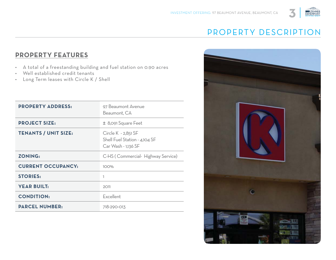

# PROPERTY-DESCRIPTION

#### **PROPERTY FEATURES**

- A total of a freestanding building and fuel station on 0.90 acres
- Well established credit tenants
- Long Term leases with Circle K / Shell

| <b>PROPERTY ADDRESS:</b>    | 97 Beaumont Avenue<br>Beaumont, CA                                          |
|-----------------------------|-----------------------------------------------------------------------------|
| <b>PROJECT SIZE:</b>        | ± 8,091 Square Feet                                                         |
| <b>TENANTS / UNIT SIZE:</b> | Circle K - 2,851 SF<br>Shell Fuel Station - 4,104 SF<br>Car Wash - 1,136 SF |
| <b>ZONING:</b>              | C-HS (Commercial- Highway Service)                                          |
| <b>CURRENT OCCUPANCY:</b>   | 100%                                                                        |
| <b>STORIES:</b>             | 1                                                                           |
| <b>YEAR BUILT:</b>          | 2011                                                                        |
| <b>CONDITION:</b>           | Excellent                                                                   |
| <b>PARCEL NUMBER:</b>       | 718-290-013                                                                 |
|                             |                                                                             |

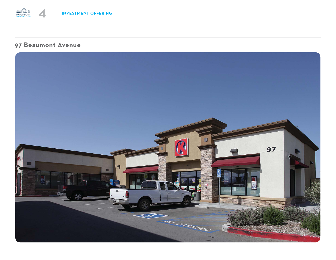#### **97 Beaumont Avenue**

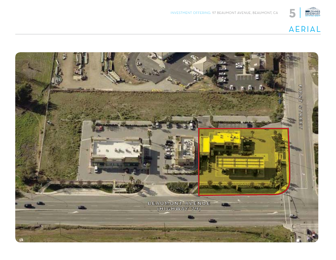

## AERIAL